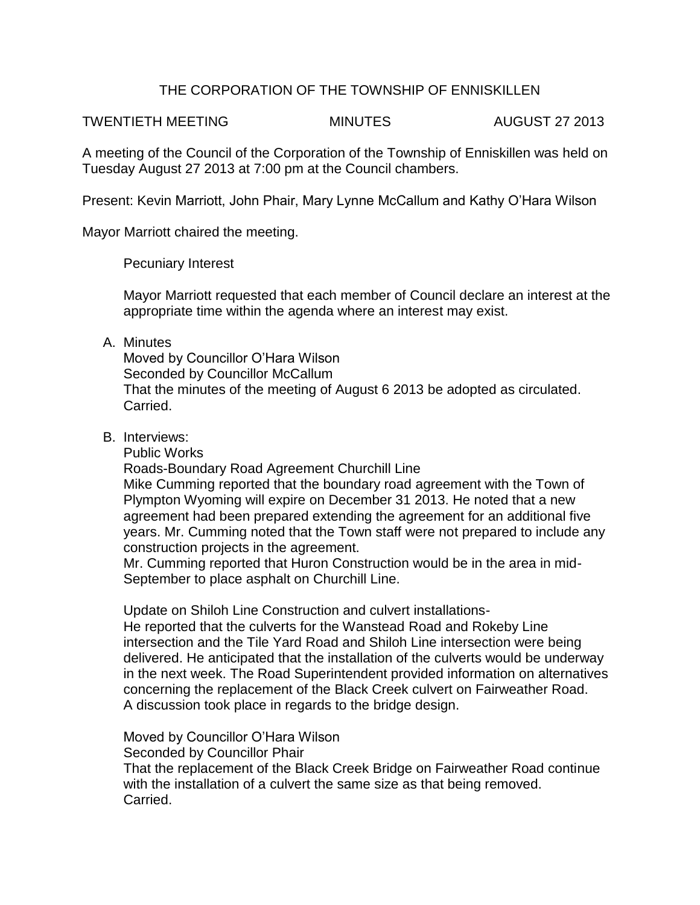## THE CORPORATION OF THE TOWNSHIP OF ENNISKILLEN

TWENTIETH MEETING MINUTES AUGUST 27 2013

A meeting of the Council of the Corporation of the Township of Enniskillen was held on Tuesday August 27 2013 at 7:00 pm at the Council chambers.

Present: Kevin Marriott, John Phair, Mary Lynne McCallum and Kathy O'Hara Wilson

Mayor Marriott chaired the meeting.

Pecuniary Interest

Mayor Marriott requested that each member of Council declare an interest at the appropriate time within the agenda where an interest may exist.

A. Minutes

Moved by Councillor O'Hara Wilson Seconded by Councillor McCallum That the minutes of the meeting of August 6 2013 be adopted as circulated. Carried.

B. Interviews:

Public Works

Roads-Boundary Road Agreement Churchill Line Mike Cumming reported that the boundary road agreement with the Town of Plympton Wyoming will expire on December 31 2013. He noted that a new agreement had been prepared extending the agreement for an additional five years. Mr. Cumming noted that the Town staff were not prepared to include any construction projects in the agreement.

Mr. Cumming reported that Huron Construction would be in the area in mid-September to place asphalt on Churchill Line.

Update on Shiloh Line Construction and culvert installations-

He reported that the culverts for the Wanstead Road and Rokeby Line intersection and the Tile Yard Road and Shiloh Line intersection were being delivered. He anticipated that the installation of the culverts would be underway in the next week. The Road Superintendent provided information on alternatives concerning the replacement of the Black Creek culvert on Fairweather Road. A discussion took place in regards to the bridge design.

Moved by Councillor O'Hara Wilson

Seconded by Councillor Phair

That the replacement of the Black Creek Bridge on Fairweather Road continue with the installation of a culvert the same size as that being removed. Carried.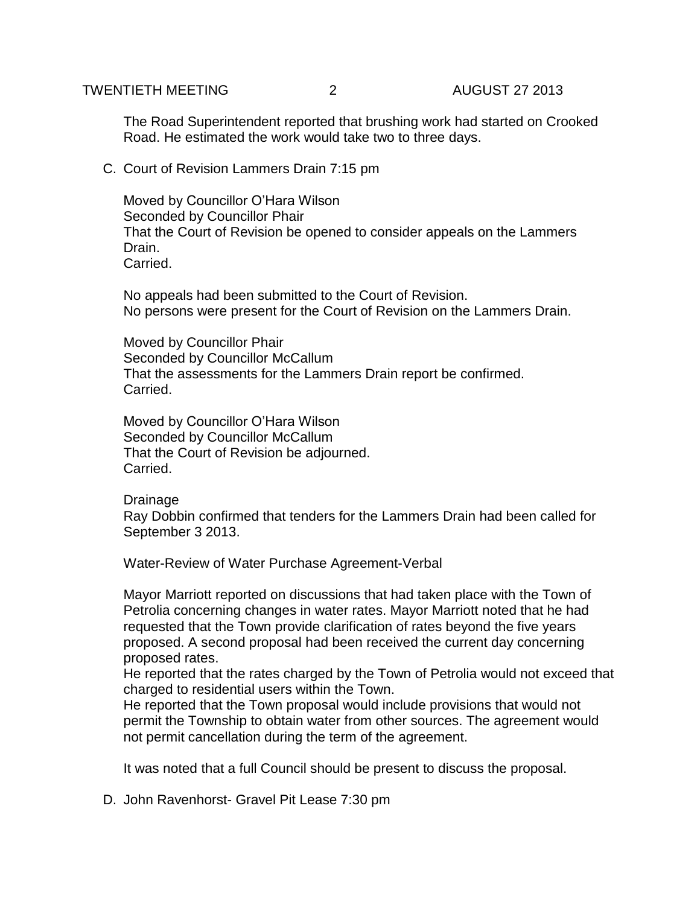## TWENTIETH MEETING 2 AUGUST 27 2013

The Road Superintendent reported that brushing work had started on Crooked Road. He estimated the work would take two to three days.

C. Court of Revision Lammers Drain 7:15 pm

Moved by Councillor O'Hara Wilson Seconded by Councillor Phair That the Court of Revision be opened to consider appeals on the Lammers Drain. Carried.

No appeals had been submitted to the Court of Revision. No persons were present for the Court of Revision on the Lammers Drain.

Moved by Councillor Phair Seconded by Councillor McCallum That the assessments for the Lammers Drain report be confirmed. Carried.

Moved by Councillor O'Hara Wilson Seconded by Councillor McCallum That the Court of Revision be adjourned. Carried.

Drainage

Ray Dobbin confirmed that tenders for the Lammers Drain had been called for September 3 2013.

Water-Review of Water Purchase Agreement-Verbal

Mayor Marriott reported on discussions that had taken place with the Town of Petrolia concerning changes in water rates. Mayor Marriott noted that he had requested that the Town provide clarification of rates beyond the five years proposed. A second proposal had been received the current day concerning proposed rates.

He reported that the rates charged by the Town of Petrolia would not exceed that charged to residential users within the Town.

He reported that the Town proposal would include provisions that would not permit the Township to obtain water from other sources. The agreement would not permit cancellation during the term of the agreement.

It was noted that a full Council should be present to discuss the proposal.

D. John Ravenhorst- Gravel Pit Lease 7:30 pm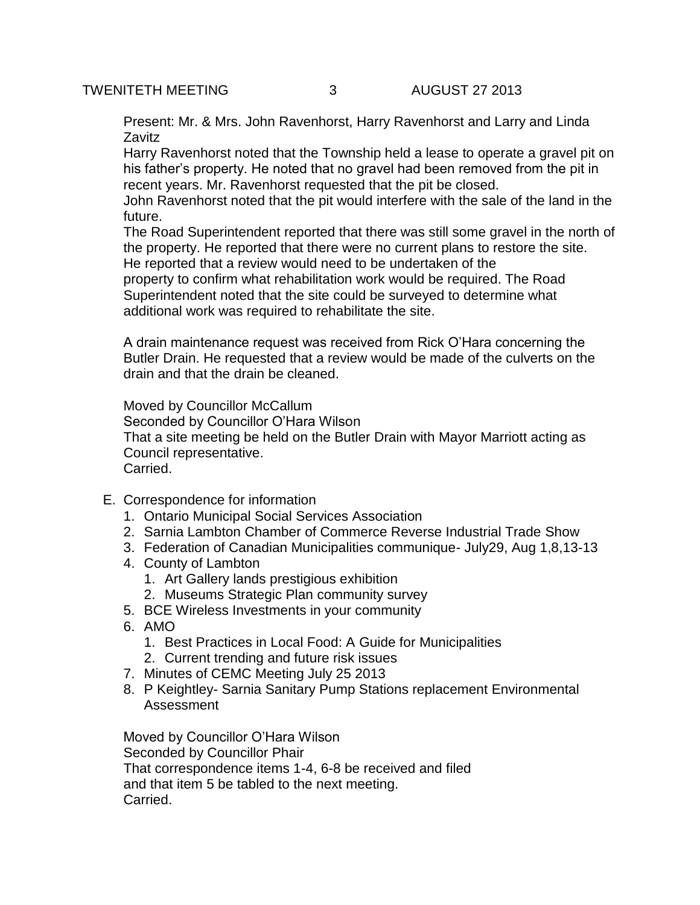Present: Mr. & Mrs. John Ravenhorst, Harry Ravenhorst and Larry and Linda **Zavitz** 

Harry Ravenhorst noted that the Township held a lease to operate a gravel pit on his father's property. He noted that no gravel had been removed from the pit in recent years. Mr. Ravenhorst requested that the pit be closed.

John Ravenhorst noted that the pit would interfere with the sale of the land in the future.

The Road Superintendent reported that there was still some gravel in the north of the property. He reported that there were no current plans to restore the site. He reported that a review would need to be undertaken of the property to confirm what rehabilitation work would be required. The Road Superintendent noted that the site could be surveyed to determine what

additional work was required to rehabilitate the site.

A drain maintenance request was received from Rick O'Hara concerning the Butler Drain. He requested that a review would be made of the culverts on the drain and that the drain be cleaned.

Moved by Councillor McCallum

Seconded by Councillor O'Hara Wilson

That a site meeting be held on the Butler Drain with Mayor Marriott acting as Council representative.

**Carried** 

- E. Correspondence for information
	- 1. Ontario Municipal Social Services Association
	- 2. Sarnia Lambton Chamber of Commerce Reverse Industrial Trade Show
	- 3. Federation of Canadian Municipalities communique- July29, Aug 1,8,13-13
	- 4. County of Lambton
		- 1. Art Gallery lands prestigious exhibition
		- 2. Museums Strategic Plan community survey
	- 5. BCE Wireless Investments in your community
	- 6. AMO
		- 1. Best Practices in Local Food: A Guide for Municipalities
	- 2. Current trending and future risk issues
	- 7. Minutes of CEMC Meeting July 25 2013
	- 8. P Keightley- Sarnia Sanitary Pump Stations replacement Environmental Assessment

Moved by Councillor O'Hara Wilson Seconded by Councillor Phair That correspondence items 1-4, 6-8 be received and filed and that item 5 be tabled to the next meeting. Carried.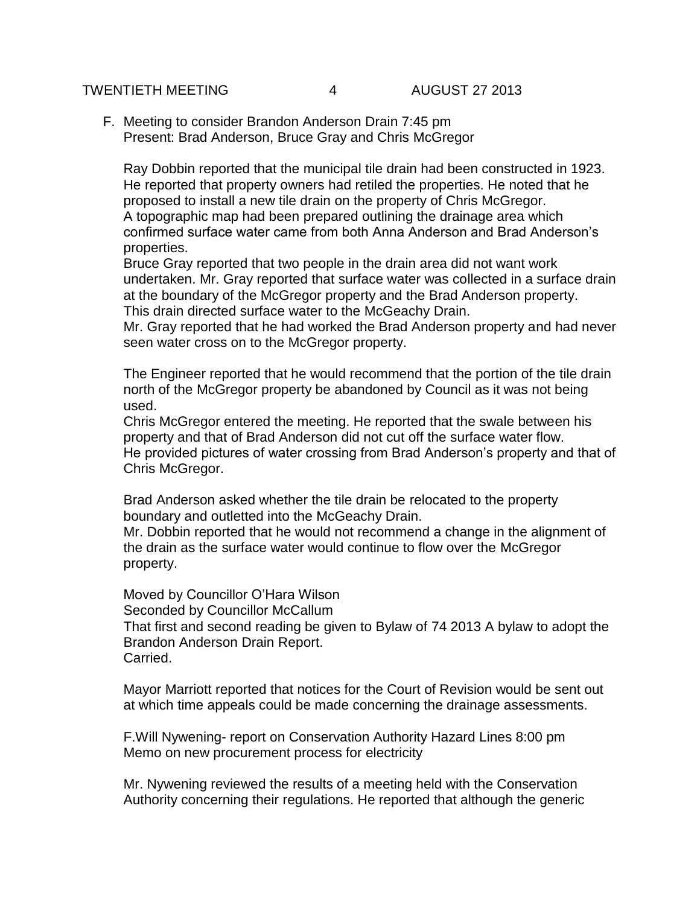F. Meeting to consider Brandon Anderson Drain 7:45 pm Present: Brad Anderson, Bruce Gray and Chris McGregor

Ray Dobbin reported that the municipal tile drain had been constructed in 1923. He reported that property owners had retiled the properties. He noted that he proposed to install a new tile drain on the property of Chris McGregor. A topographic map had been prepared outlining the drainage area which confirmed surface water came from both Anna Anderson and Brad Anderson's properties.

Bruce Gray reported that two people in the drain area did not want work undertaken. Mr. Gray reported that surface water was collected in a surface drain at the boundary of the McGregor property and the Brad Anderson property. This drain directed surface water to the McGeachy Drain.

Mr. Gray reported that he had worked the Brad Anderson property and had never seen water cross on to the McGregor property.

The Engineer reported that he would recommend that the portion of the tile drain north of the McGregor property be abandoned by Council as it was not being used.

Chris McGregor entered the meeting. He reported that the swale between his property and that of Brad Anderson did not cut off the surface water flow. He provided pictures of water crossing from Brad Anderson's property and that of Chris McGregor.

Brad Anderson asked whether the tile drain be relocated to the property boundary and outletted into the McGeachy Drain.

Mr. Dobbin reported that he would not recommend a change in the alignment of the drain as the surface water would continue to flow over the McGregor property.

Moved by Councillor O'Hara Wilson Seconded by Councillor McCallum That first and second reading be given to Bylaw of 74 2013 A bylaw to adopt the Brandon Anderson Drain Report. Carried.

Mayor Marriott reported that notices for the Court of Revision would be sent out at which time appeals could be made concerning the drainage assessments.

F.Will Nywening- report on Conservation Authority Hazard Lines 8:00 pm Memo on new procurement process for electricity

Mr. Nywening reviewed the results of a meeting held with the Conservation Authority concerning their regulations. He reported that although the generic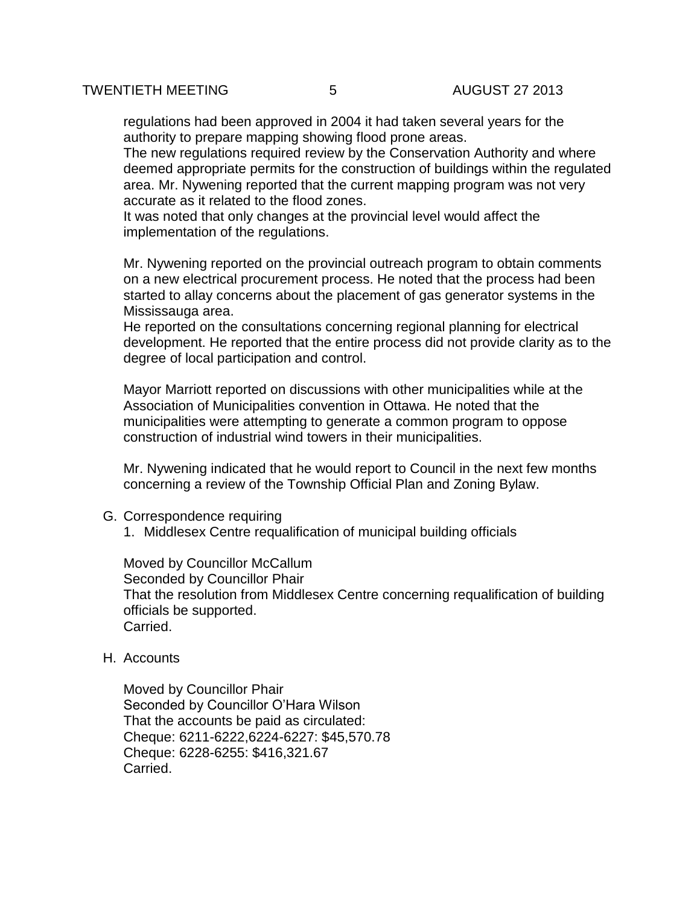regulations had been approved in 2004 it had taken several years for the authority to prepare mapping showing flood prone areas.

The new regulations required review by the Conservation Authority and where deemed appropriate permits for the construction of buildings within the regulated area. Mr. Nywening reported that the current mapping program was not very accurate as it related to the flood zones.

It was noted that only changes at the provincial level would affect the implementation of the regulations.

Mr. Nywening reported on the provincial outreach program to obtain comments on a new electrical procurement process. He noted that the process had been started to allay concerns about the placement of gas generator systems in the Mississauga area.

He reported on the consultations concerning regional planning for electrical development. He reported that the entire process did not provide clarity as to the degree of local participation and control.

Mayor Marriott reported on discussions with other municipalities while at the Association of Municipalities convention in Ottawa. He noted that the municipalities were attempting to generate a common program to oppose construction of industrial wind towers in their municipalities.

Mr. Nywening indicated that he would report to Council in the next few months concerning a review of the Township Official Plan and Zoning Bylaw.

- G. Correspondence requiring
	- 1. Middlesex Centre requalification of municipal building officials

Moved by Councillor McCallum Seconded by Councillor Phair That the resolution from Middlesex Centre concerning requalification of building officials be supported. Carried.

H. Accounts

Moved by Councillor Phair Seconded by Councillor O'Hara Wilson That the accounts be paid as circulated: Cheque: 6211-6222,6224-6227: \$45,570.78 Cheque: 6228-6255: \$416,321.67 Carried.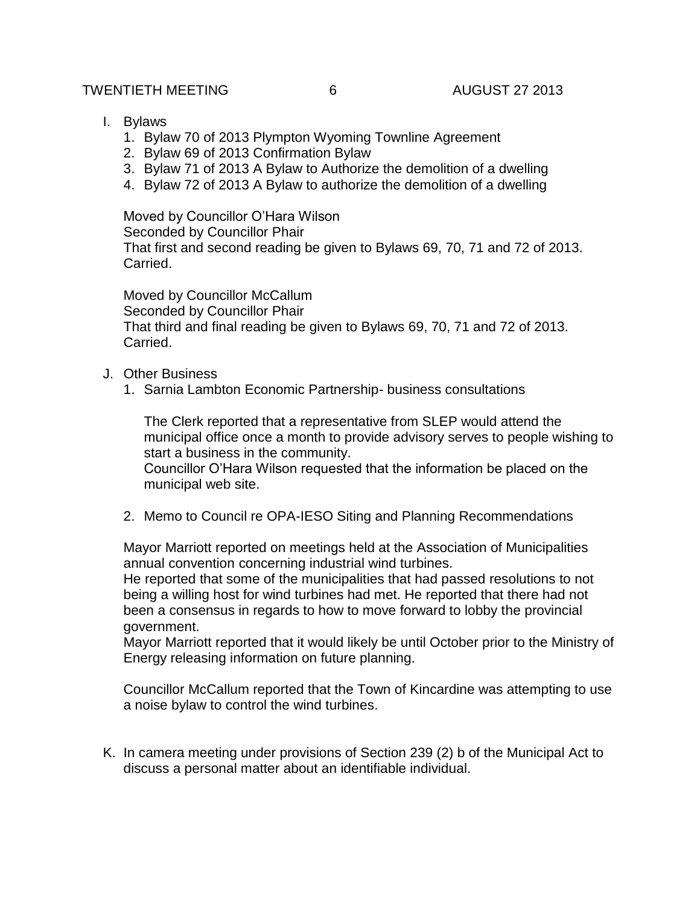- I. Bylaws
	- 1. Bylaw 70 of 2013 Plympton Wyoming Townline Agreement
	- 2. Bylaw 69 of 2013 Confirmation Bylaw
	- 3. Bylaw 71 of 2013 A Bylaw to Authorize the demolition of a dwelling
	- 4. Bylaw 72 of 2013 A Bylaw to authorize the demolition of a dwelling

Moved by Councillor O'Hara Wilson Seconded by Councillor Phair That first and second reading be given to Bylaws 69, 70, 71 and 72 of 2013. Carried.

Moved by Councillor McCallum Seconded by Councillor Phair That third and final reading be given to Bylaws 69, 70, 71 and 72 of 2013. Carried.

- J. Other Business
	- 1. Sarnia Lambton Economic Partnership- business consultations

The Clerk reported that a representative from SLEP would attend the municipal office once a month to provide advisory serves to people wishing to start a business in the community.

Councillor O'Hara Wilson requested that the information be placed on the municipal web site.

2. Memo to Council re OPA-IESO Siting and Planning Recommendations

Mayor Marriott reported on meetings held at the Association of Municipalities annual convention concerning industrial wind turbines.

He reported that some of the municipalities that had passed resolutions to not being a willing host for wind turbines had met. He reported that there had not been a consensus in regards to how to move forward to lobby the provincial government.

Mayor Marriott reported that it would likely be until October prior to the Ministry of Energy releasing information on future planning.

Councillor McCallum reported that the Town of Kincardine was attempting to use a noise bylaw to control the wind turbines.

K. In camera meeting under provisions of Section 239 (2) b of the Municipal Act to discuss a personal matter about an identifiable individual.